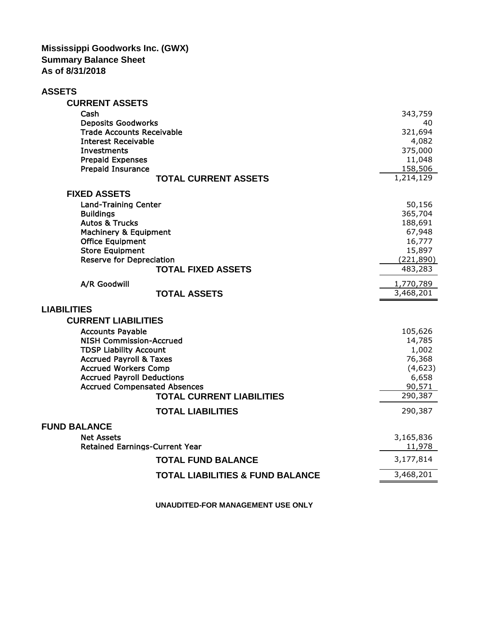**Mississippi Goodworks Inc. (GWX) Summary Balance Sheet As of 8/31/2018**

| <b>ASSETS</b>                                             |                        |
|-----------------------------------------------------------|------------------------|
| <b>CURRENT ASSETS</b>                                     |                        |
| Cash                                                      | 343,759                |
| <b>Deposits Goodworks</b>                                 | 40                     |
| <b>Trade Accounts Receivable</b>                          | 321,694                |
| <b>Interest Receivable</b>                                | 4,082                  |
| <b>Investments</b>                                        | 375,000                |
| <b>Prepaid Expenses</b>                                   | 11,048                 |
| <b>Prepaid Insurance</b><br><b>TOTAL CURRENT ASSETS</b>   | 158,506<br>1,214,129   |
|                                                           |                        |
| <b>FIXED ASSETS</b>                                       |                        |
| <b>Land-Training Center</b>                               | 50,156                 |
| <b>Buildings</b>                                          | 365,704                |
| <b>Autos &amp; Trucks</b>                                 | 188,691                |
| <b>Machinery &amp; Equipment</b>                          | 67,948                 |
| <b>Office Equipment</b>                                   | 16,777                 |
| <b>Store Equipment</b><br><b>Reserve for Depreciation</b> | 15,897<br>(221, 890)   |
| <b>TOTAL FIXED ASSETS</b>                                 | 483,283                |
|                                                           |                        |
| A/R Goodwill<br><b>TOTAL ASSETS</b>                       | 1,770,789<br>3,468,201 |
|                                                           |                        |
| <b>LIABILITIES</b>                                        |                        |
| <b>CURRENT LIABILITIES</b>                                |                        |
| <b>Accounts Payable</b>                                   | 105,626                |
| <b>NISH Commission-Accrued</b>                            | 14,785                 |
| <b>TDSP Liability Account</b>                             | 1,002                  |
| <b>Accrued Payroll &amp; Taxes</b>                        | 76,368                 |
| <b>Accrued Workers Comp</b>                               | (4,623)                |
| <b>Accrued Payroll Deductions</b>                         | 6,658                  |
| <b>Accrued Compensated Absences</b>                       | 90,571                 |
| <b>TOTAL CURRENT LIABILITIES</b>                          | 290,387                |
| <b>TOTAL LIABILITIES</b>                                  | 290,387                |
| <b>FUND BALANCE</b>                                       |                        |
| <b>Net Assets</b>                                         | 3,165,836              |
| <b>Retained Earnings-Current Year</b>                     | 11,978                 |
| <b>TOTAL FUND BALANCE</b>                                 | 3,177,814              |
| <b>TOTAL LIABILITIES &amp; FUND BALANCE</b>               | 3,468,201              |

**UNAUDITED-FOR MANAGEMENT USE ONLY**